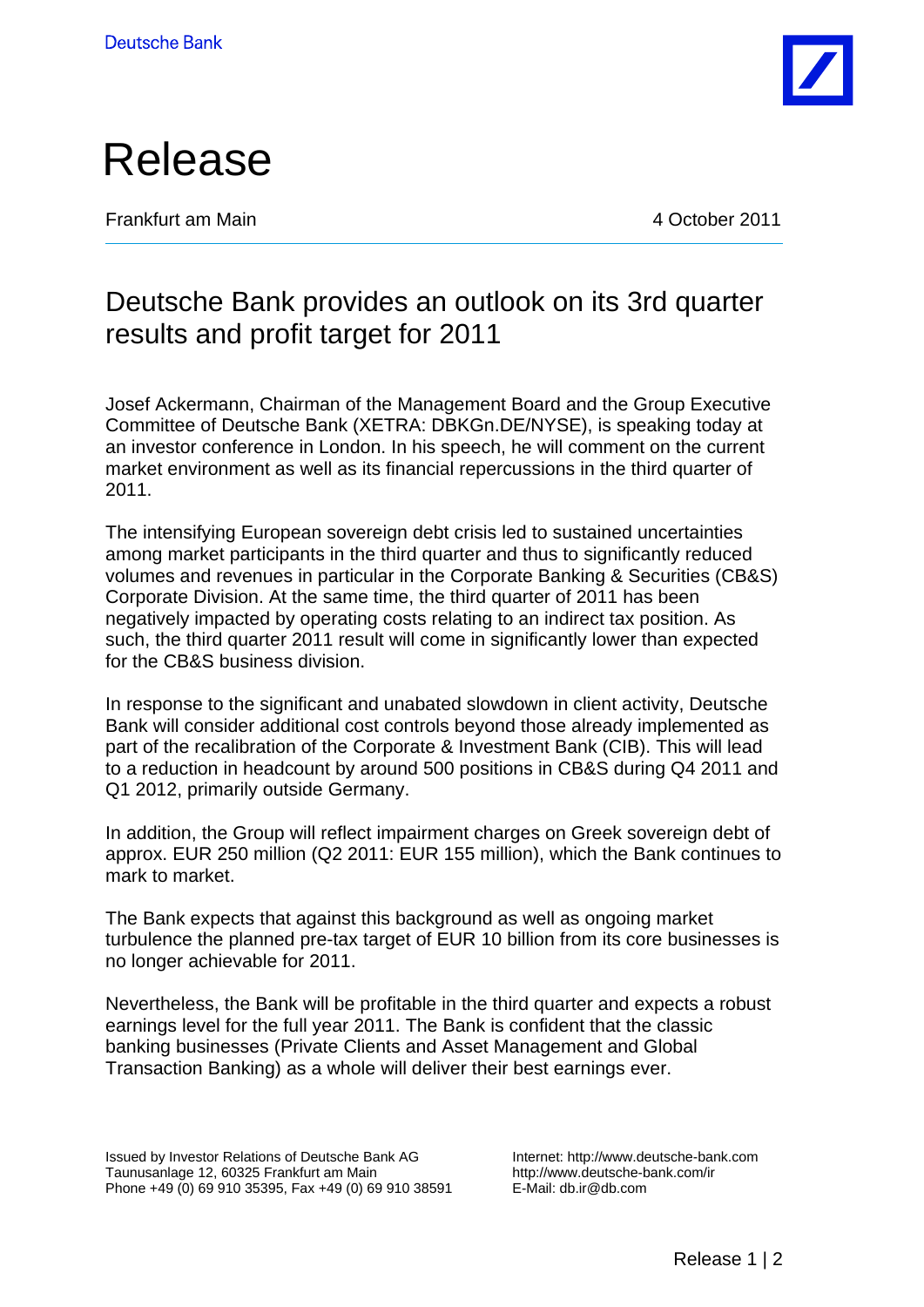



Frankfurt am Main 4 October 2011

## Deutsche Bank provides an outlook on its 3rd quarter results and profit target for 2011

Josef Ackermann, Chairman of the Management Board and the Group Executive Committee of Deutsche Bank (XETRA: DBKGn.DE/NYSE), is speaking today at an investor conference in London. In his speech, he will comment on the current market environment as well as its financial repercussions in the third quarter of 2011.

The intensifying European sovereign debt crisis led to sustained uncertainties among market participants in the third quarter and thus to significantly reduced volumes and revenues in particular in the Corporate Banking & Securities (CB&S) Corporate Division. At the same time, the third quarter of 2011 has been negatively impacted by operating costs relating to an indirect tax position. As such, the third quarter 2011 result will come in significantly lower than expected for the CB&S business division.

In response to the significant and unabated slowdown in client activity, Deutsche Bank will consider additional cost controls beyond those already implemented as part of the recalibration of the Corporate & Investment Bank (CIB). This will lead to a reduction in headcount by around 500 positions in CB&S during Q4 2011 and Q1 2012, primarily outside Germany.

In addition, the Group will reflect impairment charges on Greek sovereign debt of approx. EUR 250 million (Q2 2011: EUR 155 million), which the Bank continues to mark to market.

The Bank expects that against this background as well as ongoing market turbulence the planned pre-tax target of EUR 10 billion from its core businesses is no longer achievable for 2011.

Nevertheless, the Bank will be profitable in the third quarter and expects a robust earnings level for the full year 2011. The Bank is confident that the classic banking businesses (Private Clients and Asset Management and Global Transaction Banking) as a whole will deliver their best earnings ever.

Issued by Investor Relations of Deutsche Bank AG Taunusanlage 12, 60325 Frankfurt am Main Phone +49 (0) 69 910 35395, Fax +49 (0) 69 910 38591 Internet: http://www.deutsche-bank.com http://www.deutsche-bank.com/ir E-Mail: db.ir@db.com